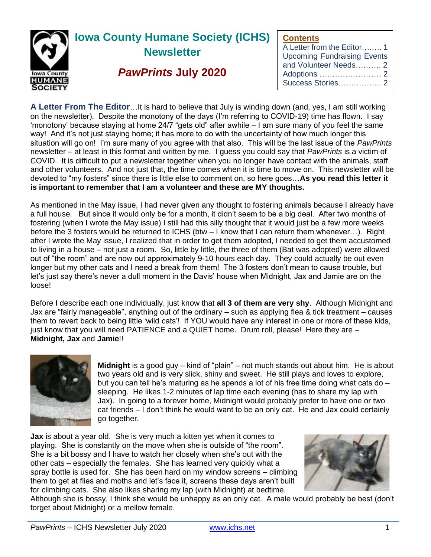

# **Iowa County Humane Society (ICHS) Newsletter**

## *PawPrints* **July 2020**

**Contents**

| A Letter from the Editor1          |
|------------------------------------|
| <b>Upcoming Fundraising Events</b> |
| and Volunteer Needs 2              |
|                                    |
|                                    |
|                                    |

**A Letter From The Editor**…It is hard to believe that July is winding down (and, yes, I am still working on the newsletter). Despite the monotony of the days (I'm referring to COVID-19) time has flown. I say 'monotony' because staying at home 24/7 "gets old" after awhile – I am sure many of you feel the same way! And it's not just staying home; it has more to do with the uncertainty of how much longer this situation will go on! I'm sure many of you agree with that also. This will be the last issue of the *PawPrints* newsletter – at least in this format and written by me. I guess you could say that *PawPrints* is a victim of COVID. It is difficult to put a newsletter together when you no longer have contact with the animals, staff and other volunteers. And not just that, the time comes when it is time to move on. This newsletter will be devoted to "my fosters" since there is little else to comment on, so here goes…**As you read this letter it is important to remember that I am a volunteer and these are MY thoughts.** 

As mentioned in the May issue, I had never given any thought to fostering animals because I already have a full house. But since it would only be for a month, it didn't seem to be a big deal. After two months of fostering (when I wrote the May issue) I still had this silly thought that it would just be a few more weeks before the 3 fosters would be returned to ICHS (btw – I know that I can return them whenever…). Right after I wrote the May issue, I realized that in order to get them adopted, I needed to get them accustomed to living in a house – not just a room. So, little by little, the three of them (Bat was adopted) were allowed out of "the room" and are now out approximately 9-10 hours each day. They could actually be out even longer but my other cats and I need a break from them! The 3 fosters don't mean to cause trouble, but let's just say there's never a dull moment in the Davis' house when Midnight, Jax and Jamie are on the loose!

Before I describe each one individually, just know that **all 3 of them are very shy**. Although Midnight and Jax are "fairly manageable", anything out of the ordinary – such as applying flea & tick treatment – causes them to revert back to being little 'wild cats'! If YOU would have any interest in one or more of these kids, just know that you will need PATIENCE and a QUIET home. Drum roll, please! Here they are – **Midnight, Jax** and **Jamie**!!



**Midnight** is a good guy – kind of "plain" – not much stands out about him. He is about two years old and is very slick, shiny and sweet. He still plays and loves to explore, but you can tell he's maturing as he spends a lot of his free time doing what cats do – sleeping. He likes 1-2 minutes of lap time each evening (has to share my lap with Jax). In going to a forever home, Midnight would probably prefer to have one or two cat friends – I don't think he would want to be an only cat. He and Jax could certainly go together.

**Jax** is about a year old. She is very much a kitten yet when it comes to playing. She is constantly on the move when she is outside of "the room". She is a bit bossy and I have to watch her closely when she's out with the other cats – especially the females. She has learned very quickly what a spray bottle is used for. She has been hard on my window screens – climbing them to get at flies and moths and let's face it, screens these days aren't built for climbing cats. She also likes sharing my lap (with Midnight) at bedtime.



Although she is bossy, I think she would be unhappy as an only cat. A male would probably be best (don't forget about Midnight) or a mellow female.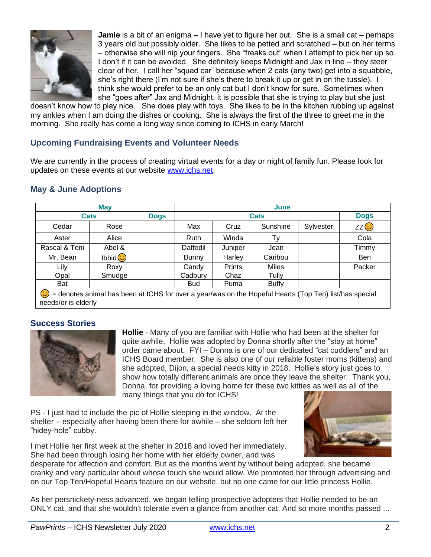

**Jamie** is a bit of an enigma – I have yet to figure her out. She is a small cat – perhaps 3 years old but possibly older. She likes to be petted and scratched – but on her terms – otherwise she will nip your fingers. She "freaks out" when I attempt to pick her up so I don't if it can be avoided. She definitely keeps Midnight and Jax in line – they steer clear of her. I call her "squad car" because when 2 cats (any two) get into a squabble, she's right there (I'm not sure if she's there to break it up or get in on the tussle). I think she would prefer to be an only cat but I don't know for sure. Sometimes when she "goes after" Jax and Midnight, it is possible that she is trying to play but she just

doesn't know how to play nice. She does play with toys. She likes to be in the kitchen rubbing up against my ankles when I am doing the dishes or cooking. She is always the first of the three to greet me in the morning. She really has come a long way since coming to ICHS in early March!

### **Upcoming Fundraising Events and Volunteer Needs**

We are currently in the process of creating virtual events for a day or night of family fun. Please look for updates on these events at our website [www.ichs.net.](http://www.ichs.net/)

#### **May & June Adoptions**

| <b>May</b>    |        |             | June         |               |              |           |                   |
|---------------|--------|-------------|--------------|---------------|--------------|-----------|-------------------|
| <b>Cats</b>   |        | <b>Dogs</b> | <b>Cats</b>  |               |              |           | <b>Dogs</b>       |
| Cedar         | Rose   |             | Max          | Cruz          | Sunshine     | Sylvester | ZZ <mark>ම</mark> |
| Aster         | Alice  |             | Ruth         | Winda         | Tv           |           | Cola              |
| Rascal & Toni | Abel & |             | Daffodil     | Juniper       | Jean         |           | Timmy             |
| Mr. Bean      | Ibbid  |             | <b>Bunny</b> | Harley        | Caribou      |           | <b>Ben</b>        |
| Lily          | Roxy   |             | Candy        | <b>Prints</b> | <b>Miles</b> |           | Packer            |
| Opal          | Smudge |             | Cadbury      | Chaz          | Tullv        |           |                   |
| Bat           |        |             | <b>Bud</b>   | Puma          | <b>Buffy</b> |           |                   |

denotes animal has been at ICHS for over a year/was on the Hopeful Hearts (Top Ten) list/has special needs/or is elderly

#### **Success Stories**



**Hollie** - Many of you are familiar with Hollie who had been at the shelter for quite awhile. Hollie was adopted by Donna shortly after the "stay at home" order came about. FYI – Donna is one of our dedicated "cat cuddlers" and an ICHS Board member. She is also one of our reliable foster moms (kittens) and she adopted, Dijon, a special needs kitty in 2018. Hollie's story just goes to show how totally different animals are once they leave the shelter. Thank you, Donna, for providing a loving home for these two kitties as well as all of the many things that you do for ICHS!

PS - I just had to include the pic of Hollie sleeping in the window. At the shelter – especially after having been there for awhile – she seldom left her "hidey-hole" cubby.

I met Hollie her first week at the shelter in 2018 and loved her immediately. She had been through losing her home with her elderly owner, and was



desperate for affection and comfort. But as the months went by without being adopted, she became cranky and very particular about whose touch she would allow. We promoted her through advertising and on our Top Ten/Hopeful Hearts feature on our website, but no one came for our little princess Hollie.

As her persnickety-ness advanced, we began telling prospective adopters that Hollie needed to be an ONLY cat, and that she wouldn't tolerate even a glance from another cat. And so more months passed ...